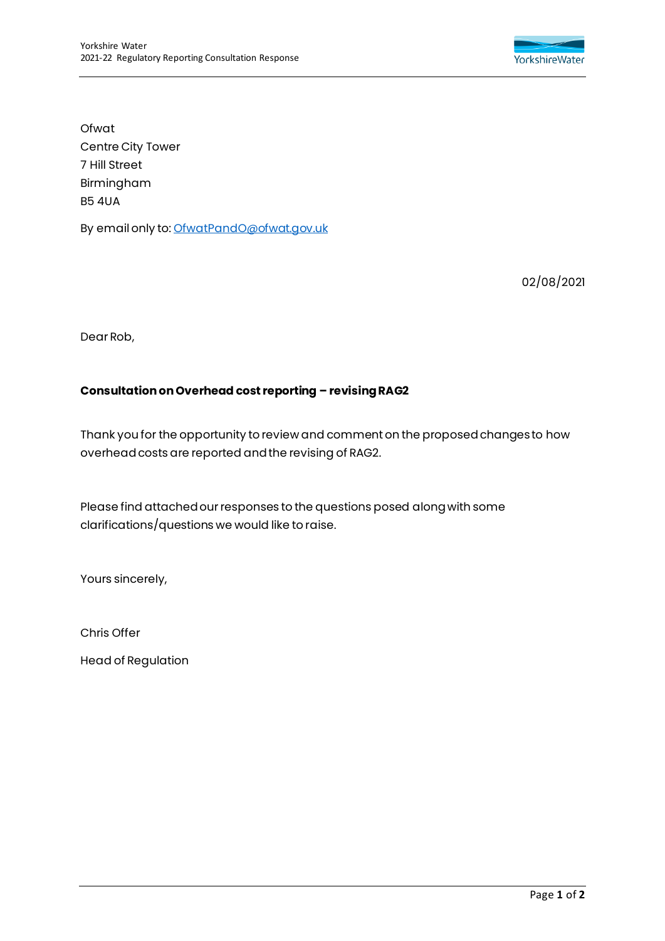

Ofwat Centre City Tower 7 Hill Street Birmingham B5 4UA

By email only to[: OfwatPandO@ofwat.gov.uk](mailto:OfwatPandO@ofwat.gov.uk)

02/08/2021

Dear Rob,

## **Consultation on Overhead cost reporting – revising RAG2**

Thank you for the opportunity to review and comment on the proposed changes to how overhead costs are reported and the revising of RAG2.

Please find attached our responses to the questions posed along with some clarifications/questions we would like to raise.

Yours sincerely,

Chris Offer

Head of Regulation